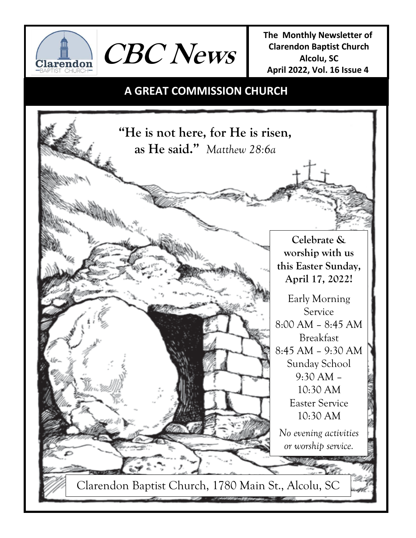

**The Monthly Newsletter of Clarendon Baptist Church Alcolu, SC April 2022, Vol. 16 Issue 4** 

# **A GREAT COMMISSION CHURCH**

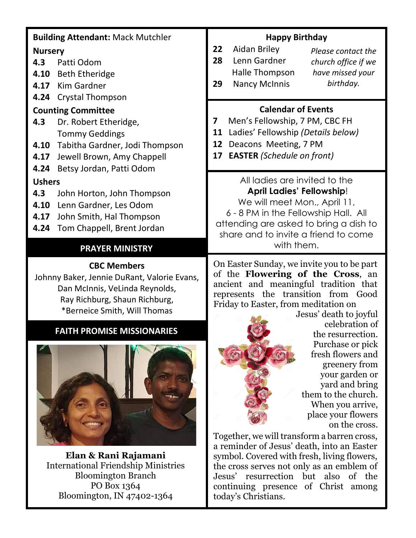| <b>Building Attendant: Mack Mutchler</b> |                                |                            | <b>Happy Birthday</b>                                        |        |
|------------------------------------------|--------------------------------|----------------------------|--------------------------------------------------------------|--------|
| <b>Nursery</b>                           |                                | 22                         | Aidan Briley                                                 | Please |
| 4.3                                      | Patti Odom                     | 28                         | Lenn Gardner                                                 | church |
|                                          | 4.10 Beth Etheridge            |                            | Halle Thompson                                               | have i |
| 4.17                                     | Kim Gardner                    | 29                         | <b>Nancy McInnis</b>                                         | bi     |
| 4.24                                     | <b>Crystal Thompson</b>        |                            |                                                              |        |
| <b>Counting Committee</b>                |                                | <b>Calendar of Events</b>  |                                                              |        |
| 4.3                                      | Dr. Robert Etheridge,          | 7                          | Men's Fellowship, 7 PM, CB                                   |        |
|                                          | <b>Tommy Geddings</b>          | 11                         | Ladies' Fellowship (Details                                  |        |
| 4.10                                     | Tabitha Gardner, Jodi Thompson | 12                         | Deacons Meeting, 7 PM                                        |        |
| 4.17                                     | Jewell Brown, Amy Chappell     | 17                         | <b>EASTER</b> (Schedule on front)                            |        |
| 4.24                                     | Betsy Jordan, Patti Odom       |                            |                                                              |        |
| <b>Ushers</b>                            |                                |                            | All ladies are invited to                                    |        |
| 4.3                                      | John Horton, John Thompson     |                            | <b>April Ladies' Fellows</b>                                 |        |
| 4.10                                     | Lenn Gardner, Les Odom         |                            | We will meet Mon., Ap                                        |        |
| 4.17                                     | John Smith, Hal Thompson       | 6 - 8 PM in the Fellowship |                                                              |        |
| 4.24                                     | Tom Chappell, Brent Jordan     |                            | attending are asked to bring<br>share and to invite a friend |        |

#### **PRAYER MINISTRY**

#### **CBC Members**

Johnny Baker, Jennie DuRant, Valorie Evans, Dan McInnis, VeLinda Reynolds, Ray Richburg, Shaun Richburg, \*Berneice Smith, Will Thomas

#### **FAITH PROMISE MISSIONARIES**



**Elan & Rani Rajamani** International Friendship Ministries Bloomington Branch PO Box 1364 Bloomington, IN 47402-1364

### **Happy Birthday**

*Please contact the church office if we have missed your birthday.*

#### **Calendar of Events**

- **CBC FH**
- **ls below)**
- 

to the **April Ladies' Fellowship**! pril 11, p Hall. All ina a dish to friend to come with them.

On Easter Sunday, we invite you to be part of the **Flowering of the Cross**, an ancient and meaningful tradition that represents the transition from Good Friday to Easter, from meditation on



Jesus' death to joyful celebration of the resurrection. Purchase or pick fresh flowers and greenery from your garden or yard and bring them to the church. When you arrive, place your flowers on the cross.

Together, we will transform a barren cross, a reminder of Jesus' death, into an Easter symbol. Covered with fresh, living flowers, the cross serves not only as an emblem of Jesus' resurrection but also of the continuing presence of Christ among today's Christians.